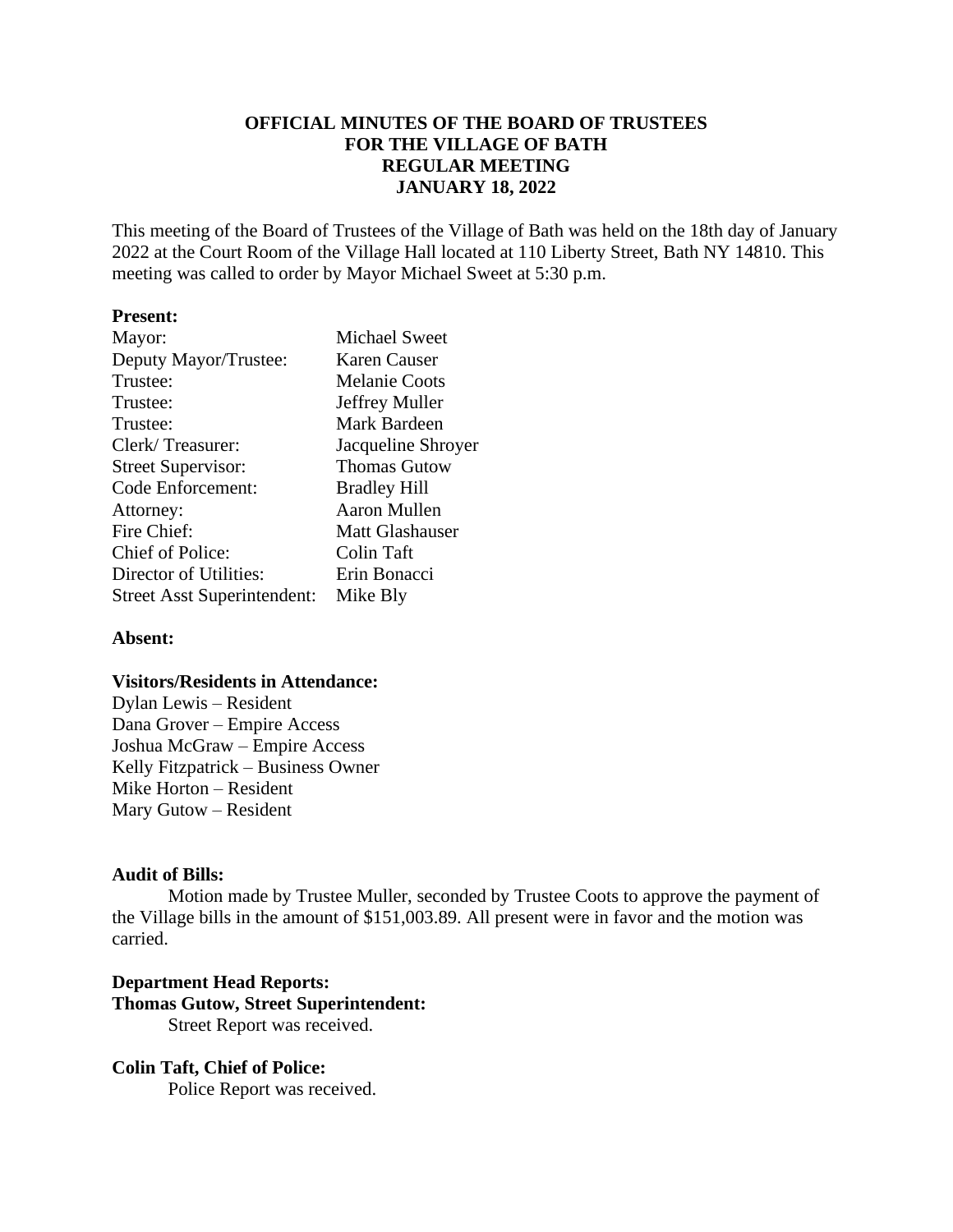# **OFFICIAL MINUTES OF THE BOARD OF TRUSTEES FOR THE VILLAGE OF BATH REGULAR MEETING JANUARY 18, 2022**

This meeting of the Board of Trustees of the Village of Bath was held on the 18th day of January 2022 at the Court Room of the Village Hall located at 110 Liberty Street, Bath NY 14810. This meeting was called to order by Mayor Michael Sweet at 5:30 p.m.

## **Present:**

| Mayor:                             | <b>Michael Sweet</b> |  |  |
|------------------------------------|----------------------|--|--|
| Deputy Mayor/Trustee:              | <b>Karen Causer</b>  |  |  |
| Trustee:                           | <b>Melanie Coots</b> |  |  |
| Trustee:                           | Jeffrey Muller       |  |  |
| Trustee:                           | Mark Bardeen         |  |  |
| Clerk/Treasurer:                   | Jacqueline Shroyer   |  |  |
| <b>Street Supervisor:</b>          | <b>Thomas Gutow</b>  |  |  |
| Code Enforcement:                  | <b>Bradley Hill</b>  |  |  |
| Attorney:                          | <b>Aaron Mullen</b>  |  |  |
| Fire Chief:                        | Matt Glashauser      |  |  |
| Chief of Police:                   | Colin Taft           |  |  |
| Director of Utilities:             | Erin Bonacci         |  |  |
| <b>Street Asst Superintendent:</b> | Mike Bly             |  |  |

#### **Absent:**

### **Visitors/Residents in Attendance:**

Dylan Lewis – Resident Dana Grover – Empire Access Joshua McGraw – Empire Access Kelly Fitzpatrick – Business Owner Mike Horton – Resident Mary Gutow – Resident

### **Audit of Bills:**

Motion made by Trustee Muller, seconded by Trustee Coots to approve the payment of the Village bills in the amount of \$151,003.89. All present were in favor and the motion was carried.

## **Department Head Reports: Thomas Gutow, Street Superintendent:** Street Report was received.

### **Colin Taft, Chief of Police:**

Police Report was received.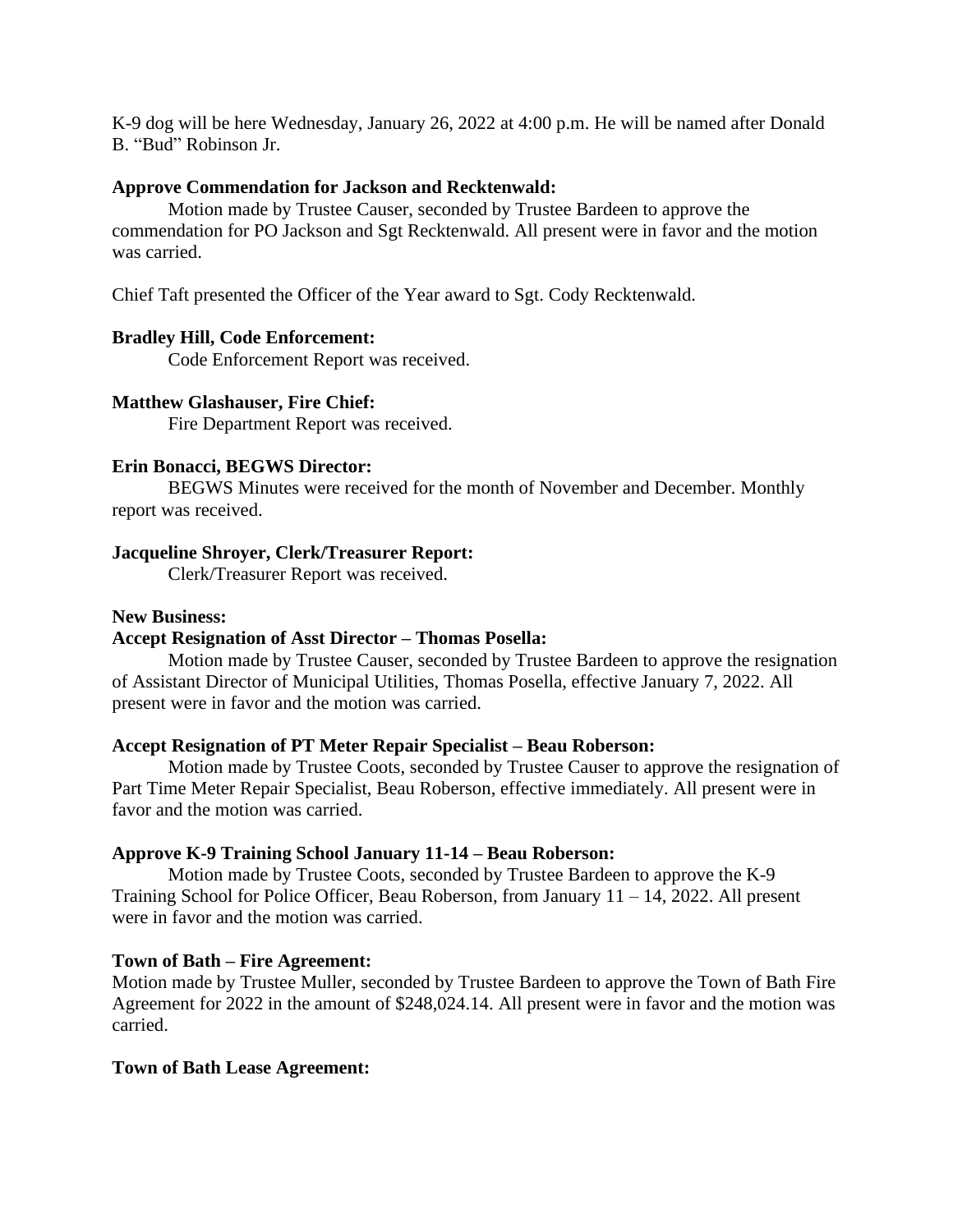K-9 dog will be here Wednesday, January 26, 2022 at 4:00 p.m. He will be named after Donald B. "Bud" Robinson Jr.

### **Approve Commendation for Jackson and Recktenwald:**

Motion made by Trustee Causer, seconded by Trustee Bardeen to approve the commendation for PO Jackson and Sgt Recktenwald. All present were in favor and the motion was carried.

Chief Taft presented the Officer of the Year award to Sgt. Cody Recktenwald.

### **Bradley Hill, Code Enforcement:**

Code Enforcement Report was received.

#### **Matthew Glashauser, Fire Chief:**

Fire Department Report was received.

### **Erin Bonacci, BEGWS Director:**

BEGWS Minutes were received for the month of November and December. Monthly report was received.

#### **Jacqueline Shroyer, Clerk/Treasurer Report:**

Clerk/Treasurer Report was received.

### **New Business:**

## **Accept Resignation of Asst Director – Thomas Posella:**

Motion made by Trustee Causer, seconded by Trustee Bardeen to approve the resignation of Assistant Director of Municipal Utilities, Thomas Posella, effective January 7, 2022. All present were in favor and the motion was carried.

#### **Accept Resignation of PT Meter Repair Specialist – Beau Roberson:**

Motion made by Trustee Coots, seconded by Trustee Causer to approve the resignation of Part Time Meter Repair Specialist, Beau Roberson, effective immediately. All present were in favor and the motion was carried.

#### **Approve K-9 Training School January 11-14 – Beau Roberson:**

Motion made by Trustee Coots, seconded by Trustee Bardeen to approve the K-9 Training School for Police Officer, Beau Roberson, from January 11 – 14, 2022. All present were in favor and the motion was carried.

#### **Town of Bath – Fire Agreement:**

Motion made by Trustee Muller, seconded by Trustee Bardeen to approve the Town of Bath Fire Agreement for 2022 in the amount of \$248,024.14. All present were in favor and the motion was carried.

### **Town of Bath Lease Agreement:**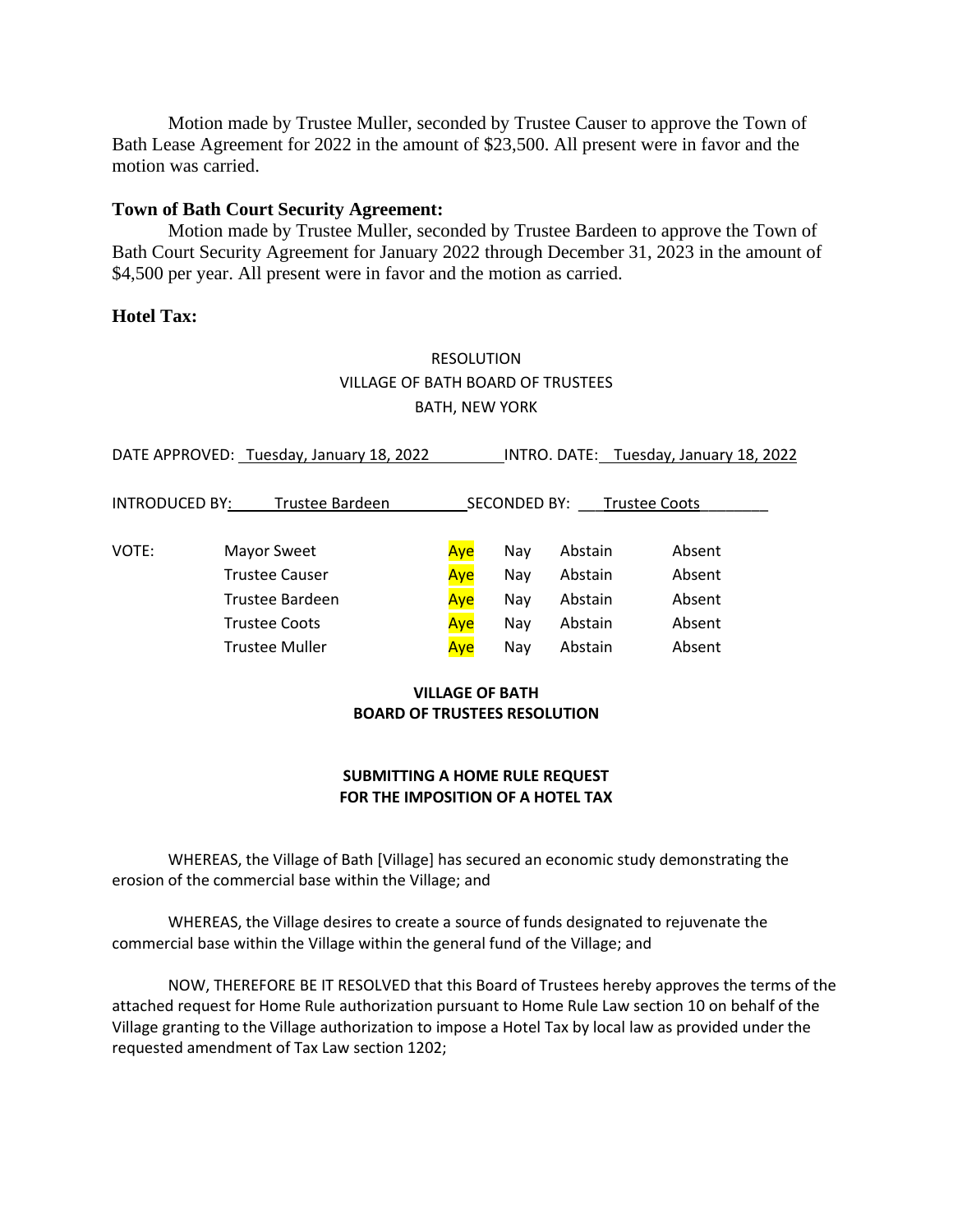Motion made by Trustee Muller, seconded by Trustee Causer to approve the Town of Bath Lease Agreement for 2022 in the amount of \$23,500. All present were in favor and the motion was carried.

### **Town of Bath Court Security Agreement:**

Motion made by Trustee Muller, seconded by Trustee Bardeen to approve the Town of Bath Court Security Agreement for January 2022 through December 31, 2023 in the amount of \$4,500 per year. All present were in favor and the motion as carried.

## **Hotel Tax:**

# RESOLUTION VILLAGE OF BATH BOARD OF TRUSTEES BATH, NEW YORK

| DATE APPROVED: Tuesday, January 18, 2022 |                       |                                             | INTRO. DATE: Tuesday, January 18, 2022 |         |        |  |
|------------------------------------------|-----------------------|---------------------------------------------|----------------------------------------|---------|--------|--|
| <b>INTRODUCED BY:</b><br>Trustee Bardeen |                       | <b>SECONDED BY:</b><br><b>Trustee Coots</b> |                                        |         |        |  |
| VOTE:                                    | Mayor Sweet           | Aye                                         | Nay                                    | Abstain | Absent |  |
|                                          | <b>Trustee Causer</b> | Aye                                         | Nay                                    | Abstain | Absent |  |
|                                          | Trustee Bardeen       | Aye                                         | Nay                                    | Abstain | Absent |  |
|                                          | <b>Trustee Coots</b>  | Aye                                         | Nay                                    | Abstain | Absent |  |
|                                          | <b>Trustee Muller</b> | Aye                                         | Nay                                    | Abstain | Absent |  |

## **VILLAGE OF BATH BOARD OF TRUSTEES RESOLUTION**

### **SUBMITTING A HOME RULE REQUEST FOR THE IMPOSITION OF A HOTEL TAX**

WHEREAS, the Village of Bath [Village] has secured an economic study demonstrating the erosion of the commercial base within the Village; and

WHEREAS, the Village desires to create a source of funds designated to rejuvenate the commercial base within the Village within the general fund of the Village; and

NOW, THEREFORE BE IT RESOLVED that this Board of Trustees hereby approves the terms of the attached request for Home Rule authorization pursuant to Home Rule Law section 10 on behalf of the Village granting to the Village authorization to impose a Hotel Tax by local law as provided under the requested amendment of Tax Law section 1202;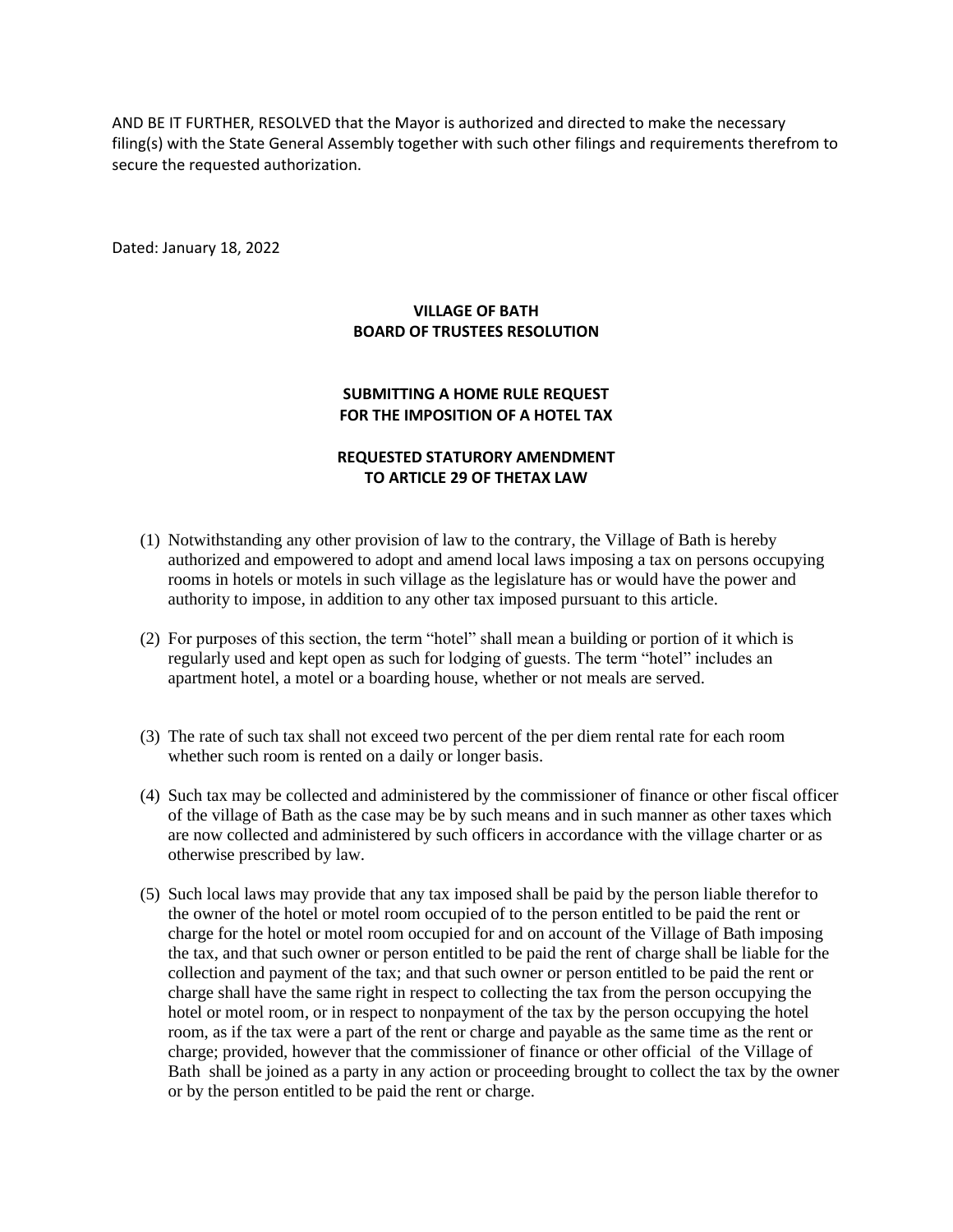AND BE IT FURTHER, RESOLVED that the Mayor is authorized and directed to make the necessary filing(s) with the State General Assembly together with such other filings and requirements therefrom to secure the requested authorization.

Dated: January 18, 2022

## **VILLAGE OF BATH BOARD OF TRUSTEES RESOLUTION**

## **SUBMITTING A HOME RULE REQUEST FOR THE IMPOSITION OF A HOTEL TAX**

## **REQUESTED STATURORY AMENDMENT TO ARTICLE 29 OF THETAX LAW**

- (1) Notwithstanding any other provision of law to the contrary, the Village of Bath is hereby authorized and empowered to adopt and amend local laws imposing a tax on persons occupying rooms in hotels or motels in such village as the legislature has or would have the power and authority to impose, in addition to any other tax imposed pursuant to this article.
- (2) For purposes of this section, the term "hotel" shall mean a building or portion of it which is regularly used and kept open as such for lodging of guests. The term "hotel" includes an apartment hotel, a motel or a boarding house, whether or not meals are served.
- (3) The rate of such tax shall not exceed two percent of the per diem rental rate for each room whether such room is rented on a daily or longer basis.
- (4) Such tax may be collected and administered by the commissioner of finance or other fiscal officer of the village of Bath as the case may be by such means and in such manner as other taxes which are now collected and administered by such officers in accordance with the village charter or as otherwise prescribed by law.
- (5) Such local laws may provide that any tax imposed shall be paid by the person liable therefor to the owner of the hotel or motel room occupied of to the person entitled to be paid the rent or charge for the hotel or motel room occupied for and on account of the Village of Bath imposing the tax, and that such owner or person entitled to be paid the rent of charge shall be liable for the collection and payment of the tax; and that such owner or person entitled to be paid the rent or charge shall have the same right in respect to collecting the tax from the person occupying the hotel or motel room, or in respect to nonpayment of the tax by the person occupying the hotel room, as if the tax were a part of the rent or charge and payable as the same time as the rent or charge; provided, however that the commissioner of finance or other official of the Village of Bath shall be joined as a party in any action or proceeding brought to collect the tax by the owner or by the person entitled to be paid the rent or charge.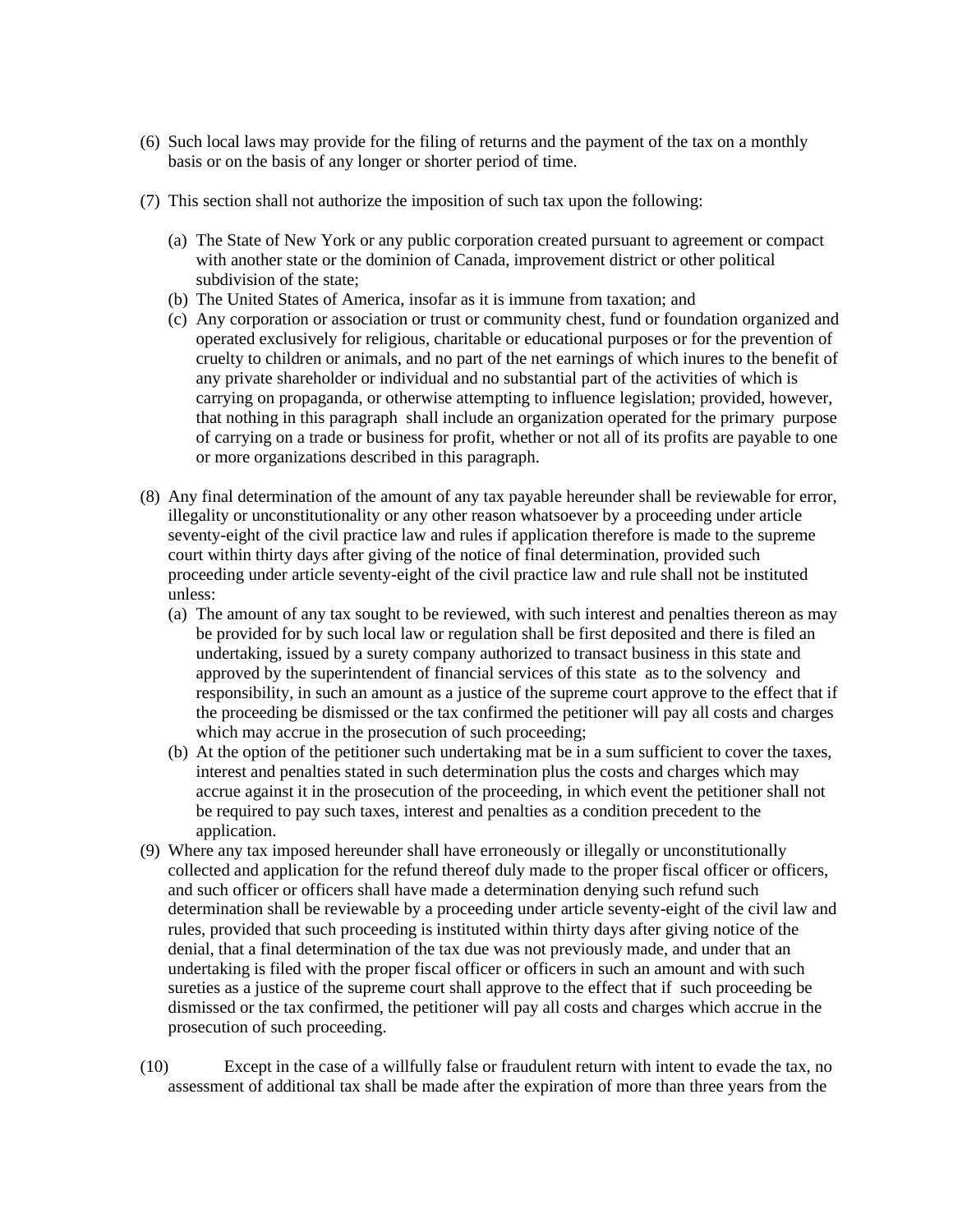- (6) Such local laws may provide for the filing of returns and the payment of the tax on a monthly basis or on the basis of any longer or shorter period of time.
- (7) This section shall not authorize the imposition of such tax upon the following:
	- (a) The State of New York or any public corporation created pursuant to agreement or compact with another state or the dominion of Canada, improvement district or other political subdivision of the state;
	- (b) The United States of America, insofar as it is immune from taxation; and
	- (c) Any corporation or association or trust or community chest, fund or foundation organized and operated exclusively for religious, charitable or educational purposes or for the prevention of cruelty to children or animals, and no part of the net earnings of which inures to the benefit of any private shareholder or individual and no substantial part of the activities of which is carrying on propaganda, or otherwise attempting to influence legislation; provided, however, that nothing in this paragraph shall include an organization operated for the primary purpose of carrying on a trade or business for profit, whether or not all of its profits are payable to one or more organizations described in this paragraph.
- (8) Any final determination of the amount of any tax payable hereunder shall be reviewable for error, illegality or unconstitutionality or any other reason whatsoever by a proceeding under article seventy-eight of the civil practice law and rules if application therefore is made to the supreme court within thirty days after giving of the notice of final determination, provided such proceeding under article seventy-eight of the civil practice law and rule shall not be instituted unless:
	- (a) The amount of any tax sought to be reviewed, with such interest and penalties thereon as may be provided for by such local law or regulation shall be first deposited and there is filed an undertaking, issued by a surety company authorized to transact business in this state and approved by the superintendent of financial services of this state as to the solvency and responsibility, in such an amount as a justice of the supreme court approve to the effect that if the proceeding be dismissed or the tax confirmed the petitioner will pay all costs and charges which may accrue in the prosecution of such proceeding;
	- (b) At the option of the petitioner such undertaking mat be in a sum sufficient to cover the taxes, interest and penalties stated in such determination plus the costs and charges which may accrue against it in the prosecution of the proceeding, in which event the petitioner shall not be required to pay such taxes, interest and penalties as a condition precedent to the application.
- (9) Where any tax imposed hereunder shall have erroneously or illegally or unconstitutionally collected and application for the refund thereof duly made to the proper fiscal officer or officers, and such officer or officers shall have made a determination denying such refund such determination shall be reviewable by a proceeding under article seventy-eight of the civil law and rules, provided that such proceeding is instituted within thirty days after giving notice of the denial, that a final determination of the tax due was not previously made, and under that an undertaking is filed with the proper fiscal officer or officers in such an amount and with such sureties as a justice of the supreme court shall approve to the effect that if such proceeding be dismissed or the tax confirmed, the petitioner will pay all costs and charges which accrue in the prosecution of such proceeding.
- (10) Except in the case of a willfully false or fraudulent return with intent to evade the tax, no assessment of additional tax shall be made after the expiration of more than three years from the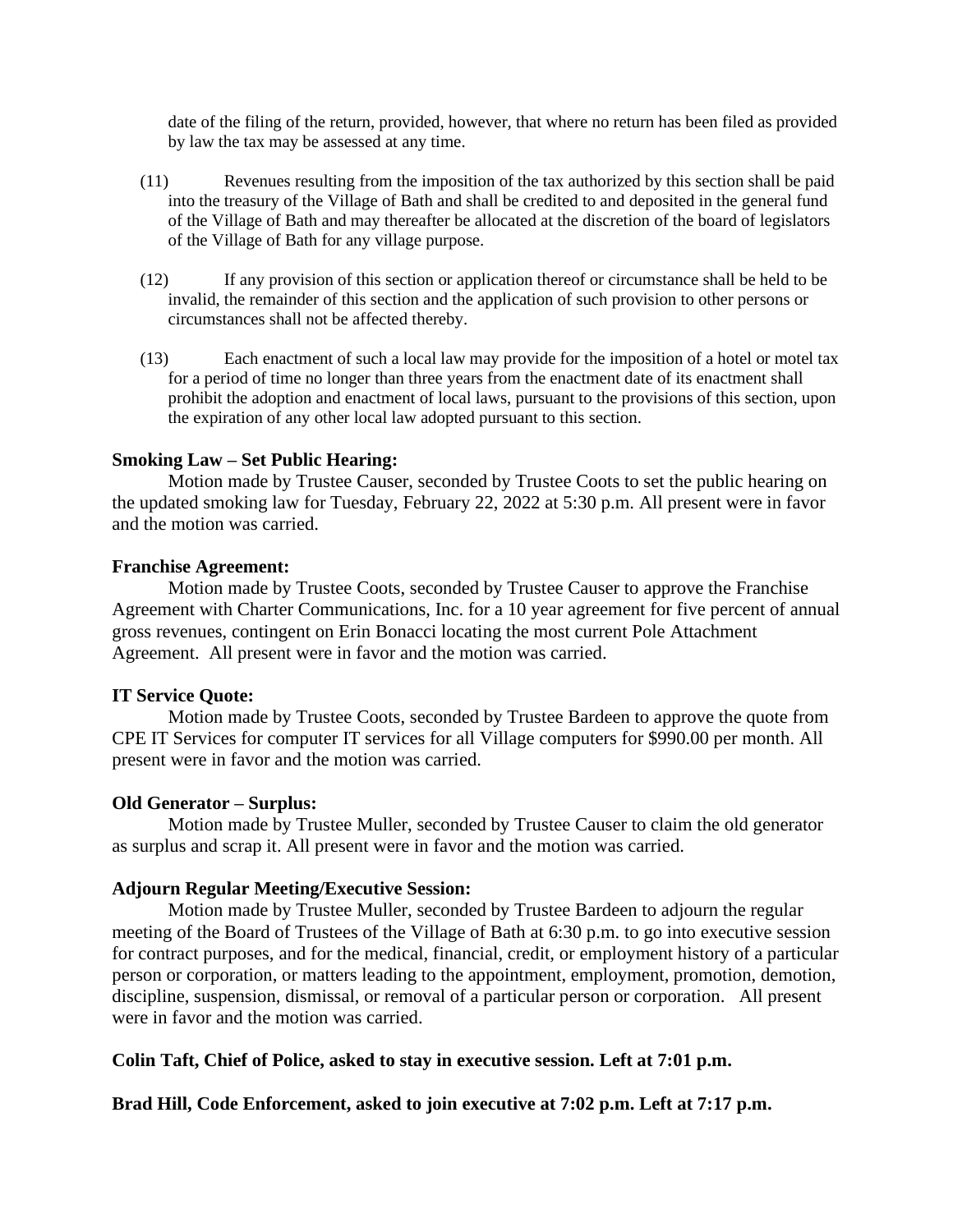date of the filing of the return, provided, however, that where no return has been filed as provided by law the tax may be assessed at any time.

- (11) Revenues resulting from the imposition of the tax authorized by this section shall be paid into the treasury of the Village of Bath and shall be credited to and deposited in the general fund of the Village of Bath and may thereafter be allocated at the discretion of the board of legislators of the Village of Bath for any village purpose.
- (12) If any provision of this section or application thereof or circumstance shall be held to be invalid, the remainder of this section and the application of such provision to other persons or circumstances shall not be affected thereby.
- (13) Each enactment of such a local law may provide for the imposition of a hotel or motel tax for a period of time no longer than three years from the enactment date of its enactment shall prohibit the adoption and enactment of local laws, pursuant to the provisions of this section, upon the expiration of any other local law adopted pursuant to this section.

### **Smoking Law – Set Public Hearing:**

Motion made by Trustee Causer, seconded by Trustee Coots to set the public hearing on the updated smoking law for Tuesday, February 22, 2022 at 5:30 p.m. All present were in favor and the motion was carried.

#### **Franchise Agreement:**

Motion made by Trustee Coots, seconded by Trustee Causer to approve the Franchise Agreement with Charter Communications, Inc. for a 10 year agreement for five percent of annual gross revenues, contingent on Erin Bonacci locating the most current Pole Attachment Agreement. All present were in favor and the motion was carried.

### **IT Service Quote:**

Motion made by Trustee Coots, seconded by Trustee Bardeen to approve the quote from CPE IT Services for computer IT services for all Village computers for \$990.00 per month. All present were in favor and the motion was carried.

### **Old Generator – Surplus:**

Motion made by Trustee Muller, seconded by Trustee Causer to claim the old generator as surplus and scrap it. All present were in favor and the motion was carried.

### **Adjourn Regular Meeting/Executive Session:**

Motion made by Trustee Muller, seconded by Trustee Bardeen to adjourn the regular meeting of the Board of Trustees of the Village of Bath at 6:30 p.m. to go into executive session for contract purposes, and for the medical, financial, credit, or employment history of a particular person or corporation, or matters leading to the appointment, employment, promotion, demotion, discipline, suspension, dismissal, or removal of a particular person or corporation. All present were in favor and the motion was carried.

### **Colin Taft, Chief of Police, asked to stay in executive session. Left at 7:01 p.m.**

**Brad Hill, Code Enforcement, asked to join executive at 7:02 p.m. Left at 7:17 p.m.**